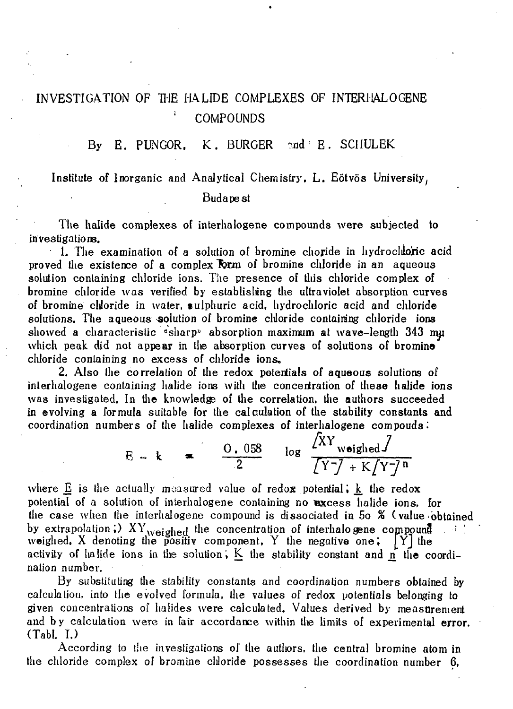## INVESTIGATION OF THE HALIDE COMPLEXES OF INTERHAL OGENE ; COMPOUNDS

## By E. PUNGOR. K. BURGER  $\text{and} \, ^{\circ}$  E. SCHULEK

## Institute of Inorganic and Analytical Chemistry, L. Eötvös University,

## Budapest

The halide complexes of interhalogene compounds were subjected to investigations.

1. The examination of a solution of bromine choride in hydroclubric acid proved the existence of a complex Tőrm of bromine chloride in an aqueous solution containing chloride ions. The presence of this chloride complex of bromine chloride was verified by establishing the ultraviolet absorption curves of bromine chloride in water, sulphuric acid, hydrochloric acid and chloride solutions. The aqueous solution of bromine chloride containing chloride ions showed a characteristic "sharp" absorption maximum at wave-length 343 mu which peak did not appear in the absorption curves of solutions of bromine chloride containing no excess of chloride ions.

2. Also the correlation of the redox potentials of aqueous solutions of interhalogene containing halide ions with the concentration of these halide ions was investigated. In the knowledgs of the correlation, the authors succeeded in evolving a formula suitable for the calculation of the stability constants and coordination numbers of the halide complexes of interhalogene compouds.

$$
E - k = \frac{0.058}{2} \log \frac{XY_{weighted}}{Y\overline{Y} + K[Y\overline{Y}]}.
$$

where  $E$  is the actually measured value of redox potential;  $k$  the redox potential of a solution of interhalogene containing no excess halide ions, for the case when the interhalogene compound is dissociated in 5o % (value obtained by extrapolation;)  $XY_{weighted}$  the concentration of interhalogene compound weighed, X denoting the positiv component, Y the negative one; *[Y]* the activity of halide ions in the solution; K the stability constant and  $\hat{\bf n}$  the coordination number.

By substituting the stability constants and coordination numbers obtained by calculation, into the evolved formula, the values of redox potentials belonging to given concentrations of halides were calculated. Values derived by measurement and by calculation were in fair accordance within the limits of experimental error. (Tabl. I.)

According to the investigations of the autliors, the central bromine atom in the chloride complex of bromine cliloride possesses the coordination number 6,